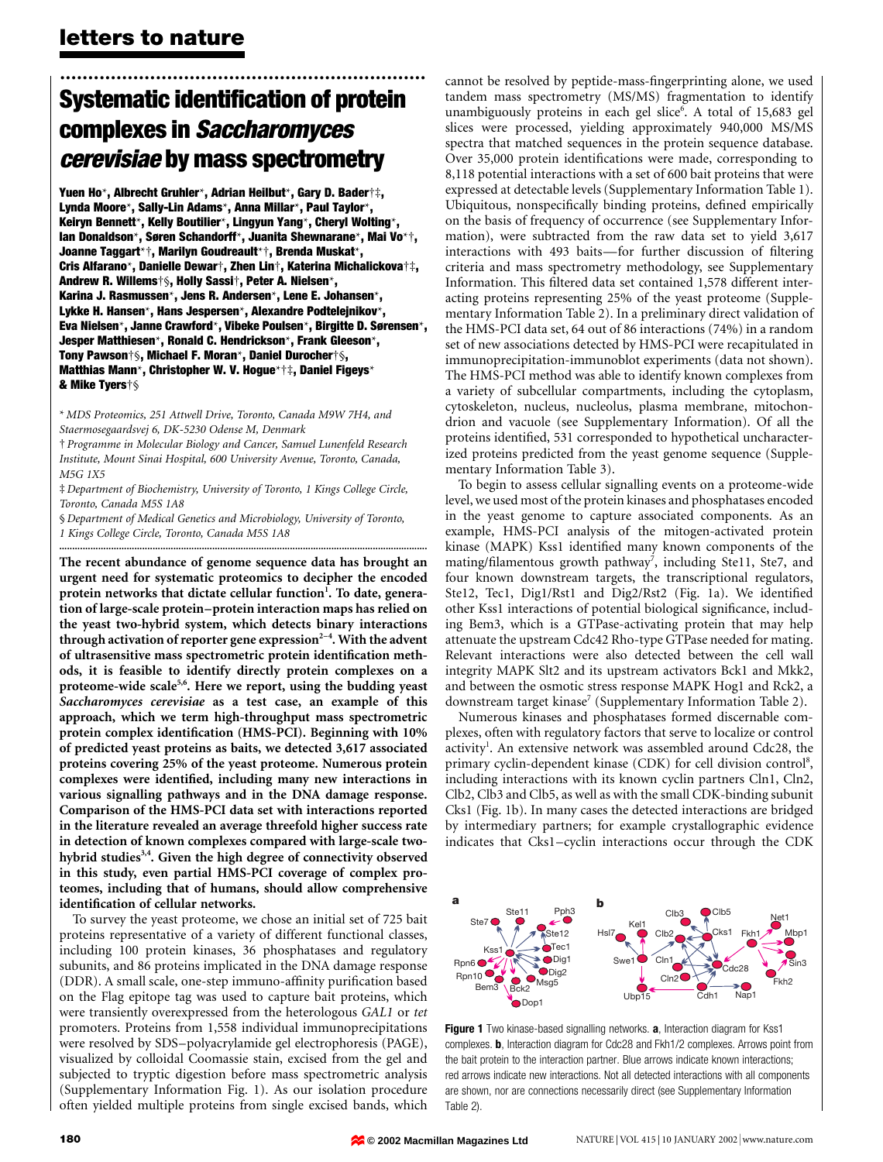# ................................................................. Systematic identification of protein complexes in Saccharomyces cerevisiae by mass spectrometry

Yuen Ho\*, Albrecht Gruhler\*, Adrian Heilbut\*, Gary D. Bader†‡, Lynda Moore\*, Sally-Lin Adams\*, Anna Millar\*, Paul Taylor\*, Keiryn Bennett\*, Kelly Boutilier\*, Lingyun Yang\*, Cheryl Wolting\*, Ian Donaldson\*, Søren Schandorff\*, Juanita Shewnarane\*, Mai Vo\*†, Joanne Taggart\*², Marilyn Goudreault\*², Brenda Muskat\*, Cris Alfarano\*, Danielle Dewar†, Zhen Lin†, Katerina Michalickova†‡, Andrew R. Willems²§, Holly Sassi², Peter A. Nielsen\*, Karina J. Rasmussen\*, Jens R. Andersen\*, Lene E. Johansen\*, Lykke H. Hansen\*, Hans Jespersen\*, Alexandre Podtelejnikov\*, Eva Nielsen\*, Janne Crawford\*, Vibeke Poulsen\*, Birgitte D. Sørensen\*, Jesper Matthiesen\*, Ronald C. Hendrickson\*, Frank Gleeson\*, Tony Pawson†§, Michael F. Moran\*, Daniel Durocher†§, Matthias Mann\*, Christopher W. V. Hogue\*†‡, Daniel Figeys\* & Mike Tyers†§

\* MDS Proteomics, 251 Attwell Drive, Toronto, Canada M9W 7H4, and Staermosegaardsvej 6, DK-5230 Odense M, Denmark

² Programme in Molecular Biology and Cancer, Samuel Lunenfeld Research Institute, Mount Sinai Hospital, 600 University Avenue, Toronto, Canada, M5G 1X5

³ Department of Biochemistry, University of Toronto, 1 Kings College Circle, Toronto, Canada M5S 1A8

§ Department of Medical Genetics and Microbiology, University of Toronto, 1 Kings College Circle, Toronto, Canada M5S 1A8

..............................................................................................................................................

The recent abundance of genome sequence data has brought an urgent need for systematic proteomics to decipher the encoded protein networks that dictate cellular function<sup>1</sup>. To date, generation of large-scale protein-protein interaction maps has relied on the yeast two-hybrid system, which detects binary interactions through activation of reporter gene  $expression<sup>2-4</sup>$ . With the advent of ultrasensitive mass spectrometric protein identification methods, it is feasible to identify directly protein complexes on a proteome-wide scale<sup>5,6</sup>. Here we report, using the budding yeast Saccharomyces cerevisiae as a test case, an example of this approach, which we term high-throughput mass spectrometric protein complex identification (HMS-PCI). Beginning with 10% of predicted yeast proteins as baits, we detected 3,617 associated proteins covering 25% of the yeast proteome. Numerous protein complexes were identified, including many new interactions in various signalling pathways and in the DNA damage response. Comparison of the HMS-PCI data set with interactions reported in the literature revealed an average threefold higher success rate in detection of known complexes compared with large-scale twohybrid studies<sup>3,4</sup>. Given the high degree of connectivity observed in this study, even partial HMS-PCI coverage of complex proteomes, including that of humans, should allow comprehensive identification of cellular networks.

To survey the yeast proteome, we chose an initial set of 725 bait proteins representative of a variety of different functional classes, including 100 protein kinases, 36 phosphatases and regulatory subunits, and 86 proteins implicated in the DNA damage response (DDR). A small scale, one-step immuno-affinity purification based on the Flag epitope tag was used to capture bait proteins, which were transiently overexpressed from the heterologous GAL1 or tet promoters. Proteins from 1,558 individual immunoprecipitations were resolved by SDS-polyacrylamide gel electrophoresis (PAGE), visualized by colloidal Coomassie stain, excised from the gel and subjected to tryptic digestion before mass spectrometric analysis (Supplementary Information Fig. 1). As our isolation procedure often yielded multiple proteins from single excised bands, which

cannot be resolved by peptide-mass-fingerprinting alone, we used tandem mass spectrometry (MS/MS) fragmentation to identify unambiguously proteins in each gel slice<sup>6</sup>. A total of 15,683 gel slices were processed, yielding approximately 940,000 MS/MS spectra that matched sequences in the protein sequence database. Over 35,000 protein identifications were made, corresponding to 8,118 potential interactions with a set of 600 bait proteins that were expressed at detectable levels (Supplementary Information Table 1). Ubiquitous, nonspecifically binding proteins, defined empirically on the basis of frequency of occurrence (see Supplementary Information), were subtracted from the raw data set to yield 3,617 interactions with 493 baits—for further discussion of filtering criteria and mass spectrometry methodology, see Supplementary Information. This filtered data set contained 1,578 different interacting proteins representing 25% of the yeast proteome (Supplementary Information Table 2). In a preliminary direct validation of the HMS-PCI data set, 64 out of 86 interactions (74%) in a random set of new associations detected by HMS-PCI were recapitulated in immunoprecipitation-immunoblot experiments (data not shown). The HMS-PCI method was able to identify known complexes from a variety of subcellular compartments, including the cytoplasm, cytoskeleton, nucleus, nucleolus, plasma membrane, mitochondrion and vacuole (see Supplementary Information). Of all the proteins identified, 531 corresponded to hypothetical uncharacterized proteins predicted from the yeast genome sequence (Supplementary Information Table 3).

To begin to assess cellular signalling events on a proteome-wide level, we used most of the protein kinases and phosphatases encoded in the yeast genome to capture associated components. As an example, HMS-PCI analysis of the mitogen-activated protein kinase (MAPK) Kss1 identified many known components of the mating/filamentous growth pathway<sup>7</sup>, including Ste11, Ste7, and four known downstream targets, the transcriptional regulators, Ste12, Tec1, Dig1/Rst1 and Dig2/Rst2 (Fig. 1a). We identified other Kss1 interactions of potential biological significance, including Bem3, which is a GTPase-activating protein that may help attenuate the upstream Cdc42 Rho-type GTPase needed for mating. Relevant interactions were also detected between the cell wall integrity MAPK Slt2 and its upstream activators Bck1 and Mkk2, and between the osmotic stress response MAPK Hog1 and Rck2, a downstream target kinase<sup>7</sup> (Supplementary Information Table 2).

Numerous kinases and phosphatases formed discernable complexes, often with regulatory factors that serve to localize or control activity<sup>1</sup>. An extensive network was assembled around Cdc28, the primary cyclin-dependent kinase (CDK) for cell division control<sup>8</sup>, including interactions with its known cyclin partners Cln1, Cln2, Clb2, Clb3 and Clb5, as well as with the small CDK-binding subunit Cks1 (Fig. 1b). In many cases the detected interactions are bridged by intermediary partners; for example crystallographic evidence indicates that Cks1-cyclin interactions occur through the CDK



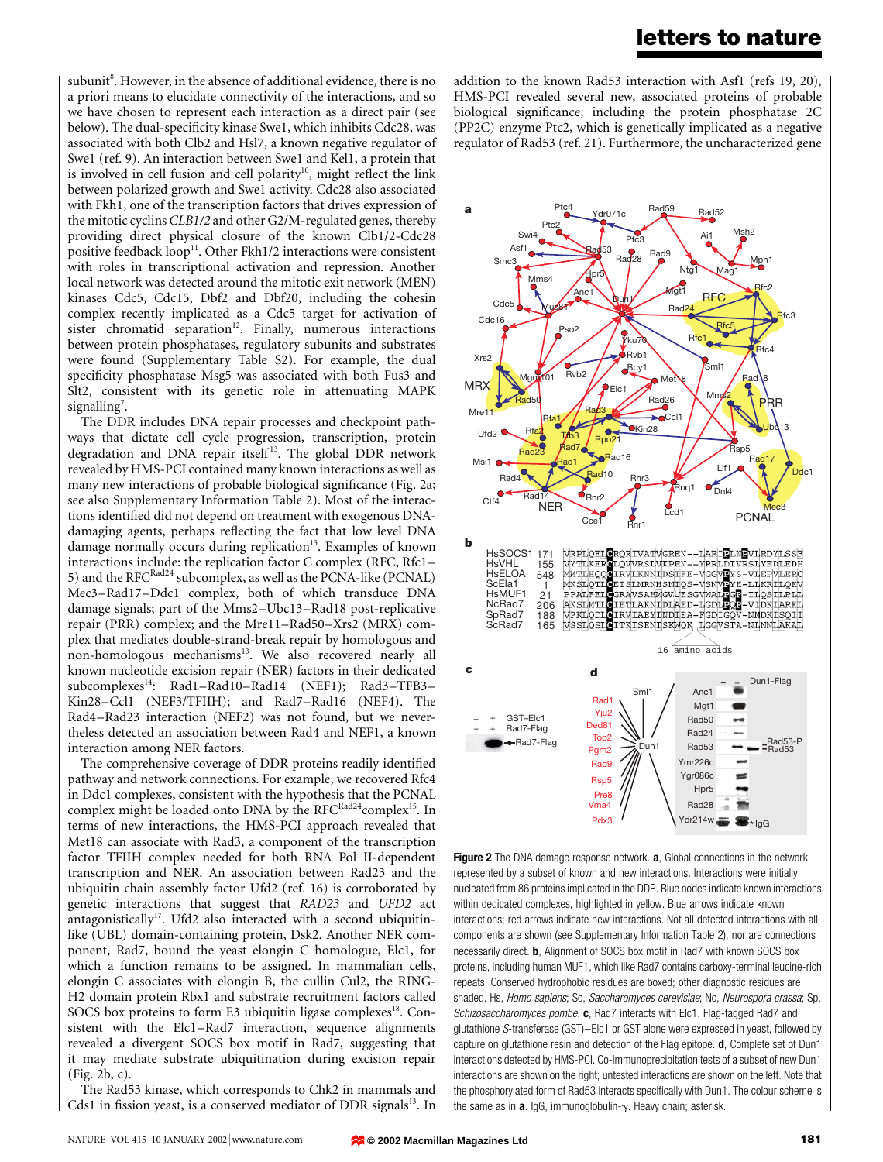## letters to nature

subunit<sup>8</sup>. However, in the absence of additional evidence, there is no a priori means to elucidate connectivity of the interactions, and so we have chosen to represent each interaction as a direct pair (see below). The dual-specificity kinase Swe1, which inhibits Cdc28, was associated with both Clb2 and Hsl7, a known negative regulator of Swe1 (ref. 9). An interaction between Swe1 and Kel1, a protein that is involved in cell fusion and cell polarity<sup>10</sup>, might reflect the link between polarized growth and Swe1 activity. Cdc28 also associated with Fkh1, one of the transcription factors that drives expression of the mitotic cyclins CLB1/2 and other G2/M-regulated genes, thereby providing direct physical closure of the known Clb1/2-Cdc28 positive feedback loop<sup>11</sup>. Other Fkh1/2 interactions were consistent with roles in transcriptional activation and repression. Another local network was detected around the mitotic exit network (MEN) kinases Cdc5, Cdc15, Dbf2 and Dbf20, including the cohesin complex recently implicated as a Cdc5 target for activation of sister chromatid separation<sup>12</sup>. Finally, numerous interactions between protein phosphatases, regulatory subunits and substrates were found (Supplementary Table S2). For example, the dual specificity phosphatase Msg5 was associated with both Fus3 and Slt2, consistent with its genetic role in attenuating MAPK signalling<sup>7</sup>.

The DDR includes DNA repair processes and checkpoint pathways that dictate cell cycle progression, transcription, protein degradation and DNA repair itself<sup>13</sup>. The global DDR network revealed by HMS-PCI contained many known interactions as well as many new interactions of probable biological significance (Fig. 2a; see also Supplementary Information Table 2). Most of the interactions identified did not depend on treatment with exogenous DNAdamaging agents, perhaps reflecting the fact that low level DNA damage normally occurs during replication<sup>13</sup>. Examples of known interactions include: the replication factor  $C$  complex (RFC, Rfc1 $-$ 5) and the RFC<sup>Rad24</sup> subcomplex, as well as the PCNA-like (PCNAL) Mec3-Rad17-Ddc1 complex, both of which transduce DNA damage signals; part of the Mms2-Ubc13-Rad18 post-replicative repair (PRR) complex; and the Mre11-Rad50-Xrs2 (MRX) complex that mediates double-strand-break repair by homologous and non-homologous mechanisms<sup>13</sup>. We also recovered nearly all known nucleotide excision repair (NER) factors in their dedicated subcomplexes<sup>14</sup>: Rad1-Rad10-Rad14 (NEF1); Rad3-TFB3-Kin28-Ccl1 (NEF3/TFIIH); and Rad7-Rad16 (NEF4). The Rad4-Rad23 interaction (NEF2) was not found, but we nevertheless detected an association between Rad4 and NEF1, a known interaction among NER factors.

The comprehensive coverage of DDR proteins readily identified pathway and network connections. For example, we recovered Rfc4 in Ddc1 complexes, consistent with the hypothesis that the PCNAL complex might be loaded onto DNA by the RFC<sup>Rad24</sup>complex<sup>15</sup>. In terms of new interactions, the HMS-PCI approach revealed that Met18 can associate with Rad3, a component of the transcription factor TFIIH complex needed for both RNA Pol II-dependent transcription and NER. An association between Rad23 and the ubiquitin chain assembly factor Ufd2 (ref. 16) is corroborated by genetic interactions that suggest that RAD23 and UFD2 act antagonistically<sup>17</sup>. Ufd2 also interacted with a second ubiquitinlike (UBL) domain-containing protein, Dsk2. Another NER component, Rad7, bound the yeast elongin C homologue, Elc1, for which a function remains to be assigned. In mammalian cells, elongin C associates with elongin B, the cullin Cul2, the RING-H2 domain protein Rbx1 and substrate recruitment factors called SOCS box proteins to form E3 ubiquitin ligase complexes<sup>18</sup>. Consistent with the Elc1-Rad7 interaction, sequence alignments revealed a divergent SOCS box motif in Rad7, suggesting that it may mediate substrate ubiquitination during excision repair (Fig. 2b, c).

The Rad53 kinase, which corresponds to Chk2 in mammals and Cds1 in fission yeast, is a conserved mediator of DDR signals<sup>13</sup>. In addition to the known Rad53 interaction with Asf1 (refs 19, 20), HMS-PCI revealed several new, associated proteins of probable biological significance, including the protein phosphatase 2C (PP2C) enzyme Ptc2, which is genetically implicated as a negative regulator of Rad53 (ref. 21). Furthermore, the uncharacterized gene



Figure 2 The DNA damage response network. a, Global connections in the network represented by a subset of known and new interactions. Interactions were initially nucleated from 86 proteins implicated in the DDR. Blue nodes indicate known interactions within dedicated complexes, highlighted in yellow. Blue arrows indicate known interactions; red arrows indicate new interactions. Not all detected interactions with all components are shown (see Supplementary Information Table 2), nor are connections necessarily direct. b, Alignment of SOCS box motif in Rad7 with known SOCS box proteins, including human MUF1, which like Rad7 contains carboxy-terminal leucine-rich repeats. Conserved hydrophobic residues are boxed; other diagnostic residues are shaded. Hs, Homo sapiens; Sc, Saccharomyces cerevisiae; Nc, Neurospora crassa; Sp, Schizosaccharomyces pombe. c, Rad7 interacts with Elc1. Flag-tagged Rad7 and glutathione S-transferase (GST)-Elc1 or GST alone were expressed in yeast, followed by capture on glutathione resin and detection of the Flag epitope. **d**, Complete set of Dun1 interactions detected by HMS-PCI. Co-immunoprecipitation tests of a subset of new Dun1 interactions are shown on the right; untested interactions are shown on the left. Note that the phosphorylated form of Rad53 interacts specifically with Dun1. The colour scheme is the same as in  $a$ . IgG, immunoglobulin- $\gamma$ . Heavy chain; asterisk.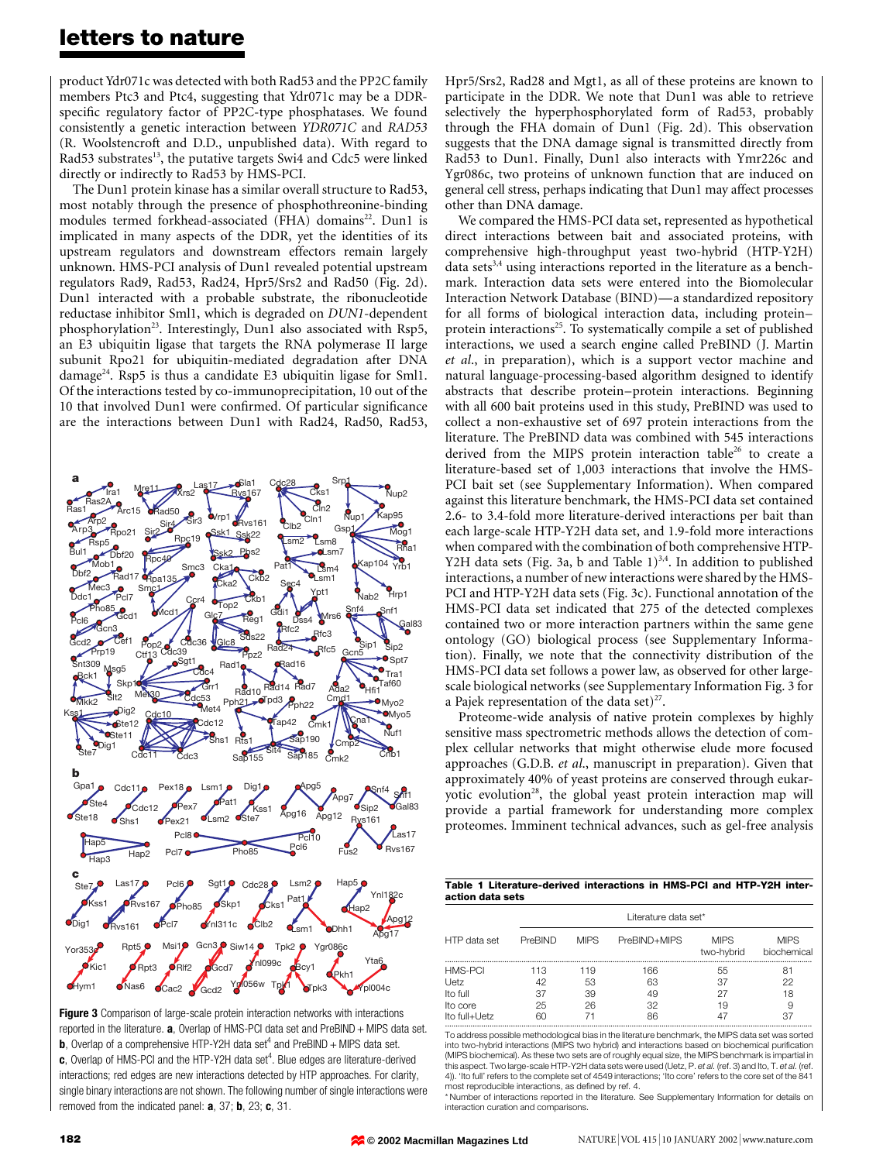## letters to nature

product Ydr071c was detected with both Rad53 and the PP2C family members Ptc3 and Ptc4, suggesting that Ydr071c may be a DDRspecific regulatory factor of PP2C-type phosphatases. We found consistently a genetic interaction between YDR071C and RAD53 (R. Woolstencroft and D.D., unpublished data). With regard to Rad53 substrates<sup>13</sup>, the putative targets Swi4 and Cdc5 were linked directly or indirectly to Rad53 by HMS-PCI.

The Dun1 protein kinase has a similar overall structure to Rad53, most notably through the presence of phosphothreonine-binding modules termed forkhead-associated (FHA) domains<sup>22</sup>. Dun1 is implicated in many aspects of the DDR, yet the identities of its upstream regulators and downstream effectors remain largely unknown. HMS-PCI analysis of Dun1 revealed potential upstream regulators Rad9, Rad53, Rad24, Hpr5/Srs2 and Rad50 (Fig. 2d). Dun1 interacted with a probable substrate, the ribonucleotide reductase inhibitor Sml1, which is degraded on DUN1-dependent phosphorylation<sup>23</sup>. Interestingly, Dun1 also associated with Rsp5, an E3 ubiquitin ligase that targets the RNA polymerase II large subunit Rpo21 for ubiquitin-mediated degradation after DNA damage<sup>24</sup>. Rsp5 is thus a candidate E3 ubiquitin ligase for Sml1. Of the interactions tested by co-immunoprecipitation, 10 out of the 10 that involved Dun1 were confirmed. Of particular significance are the interactions between Dun1 with Rad24, Rad50, Rad53,



Figure 3 Comparison of large-scale protein interaction networks with interactions reported in the literature.  $a$ , Overlap of HMS-PCI data set and PreBIND + MIPS data set. **b**, Overlap of a comprehensive HTP-Y2H data set<sup>4</sup> and PreBIND + MIPS data set.  $c$ , Overlap of HMS-PCI and the HTP-Y2H data set<sup>4</sup>. Blue edges are literature-derived interactions; red edges are new interactions detected by HTP approaches. For clarity, single binary interactions are not shown. The following number of single interactions were removed from the indicated panel: **a**, 37; **b**, 23; **c**, 31.

Hpr5/Srs2, Rad28 and Mgt1, as all of these proteins are known to participate in the DDR. We note that Dun1 was able to retrieve selectively the hyperphosphorylated form of Rad53, probably through the FHA domain of Dun1 (Fig. 2d). This observation suggests that the DNA damage signal is transmitted directly from Rad53 to Dun1. Finally, Dun1 also interacts with Ymr226c and Ygr086c, two proteins of unknown function that are induced on general cell stress, perhaps indicating that Dun1 may affect processes other than DNA damage.

We compared the HMS-PCI data set, represented as hypothetical direct interactions between bait and associated proteins, with comprehensive high-throughput yeast two-hybrid (HTP-Y2H) data sets $3,4$  using interactions reported in the literature as a benchmark. Interaction data sets were entered into the Biomolecular Interaction Network Database (BIND)—a standardized repository for all forms of biological interaction data, including proteinprotein interactions<sup>25</sup>. To systematically compile a set of published interactions, we used a search engine called PreBIND (J. Martin et al., in preparation), which is a support vector machine and natural language-processing-based algorithm designed to identify abstracts that describe protein-protein interactions. Beginning with all 600 bait proteins used in this study, PreBIND was used to collect a non-exhaustive set of 697 protein interactions from the literature. The PreBIND data was combined with 545 interactions derived from the MIPS protein interaction table<sup>26</sup> to create a literature-based set of 1,003 interactions that involve the HMS-PCI bait set (see Supplementary Information). When compared against this literature benchmark, the HMS-PCI data set contained 2.6- to 3.4-fold more literature-derived interactions per bait than each large-scale HTP-Y2H data set, and 1.9-fold more interactions when compared with the combination of both comprehensive HTP-Y2H data sets (Fig. 3a, b and Table  $1)^{3,4}$ . In addition to published interactions, a number of new interactions were shared by the HMS-PCI and HTP-Y2H data sets (Fig. 3c). Functional annotation of the HMS-PCI data set indicated that 275 of the detected complexes contained two or more interaction partners within the same gene ontology (GO) biological process (see Supplementary Information). Finally, we note that the connectivity distribution of the HMS-PCI data set follows a power law, as observed for other largescale biological networks (see Supplementary Information Fig. 3 for a Pajek representation of the data set) $27$ .

Proteome-wide analysis of native protein complexes by highly sensitive mass spectrometric methods allows the detection of complex cellular networks that might otherwise elude more focused approaches (G.D.B. et al., manuscript in preparation). Given that approximately 40% of yeast proteins are conserved through eukaryotic evolution<sup>28</sup>, the global yeast protein interaction map will provide a partial framework for understanding more complex proteomes. Imminent technical advances, such as gel-free analysis

| Table 1 Literature-derived interactions in HMS-PCI and HTP-Y2H inter- |  |  |  |
|-----------------------------------------------------------------------|--|--|--|
| action data sets                                                      |  |  |  |

|                                                                 |                             | Literature data set*  |                             |                            |                            |  |  |  |
|-----------------------------------------------------------------|-----------------------------|-----------------------|-----------------------------|----------------------------|----------------------------|--|--|--|
| HTP data set                                                    | PreBIND                     | <b>MIPS</b>           | PreBIND+MIPS                | <b>MIPS</b><br>two-hybrid  | <b>MIPS</b><br>biochemical |  |  |  |
| <b>HMS-PCI</b><br>Uetz<br>Ito full<br>Ito core<br>Ito full+Uetz | 113<br>42<br>37<br>25<br>60 | 119<br>53<br>39<br>26 | 166<br>63<br>49<br>32<br>86 | 55<br>37<br>27<br>19<br>47 | 81<br>22<br>18<br>9<br>37  |  |  |  |

............................................................................................................................................................................. To address possible methodological bias in the literature benchmark, the MIPS data set was sorted into two-hybrid interactions (MIPS two hybrid) and interactions based on biochemical purification (MIPS biochemical). As these two sets are of roughly equal size, the MIPS benchmark is impartial in this aspect. Two large-scale HTP-Y2H data sets were used (Uetz, P. et al. (ref. 3) and Ito, T. et al. (ref 4)). 'Ito full' refers to the complete set of 4549 interactions; 'Ito core' refers to the core set of the 841 most reproducible interactions, as defined by ref. 4.

\* Number of interactions reported in the literature. See Supplementary Information for details on interaction curation and comparisons.